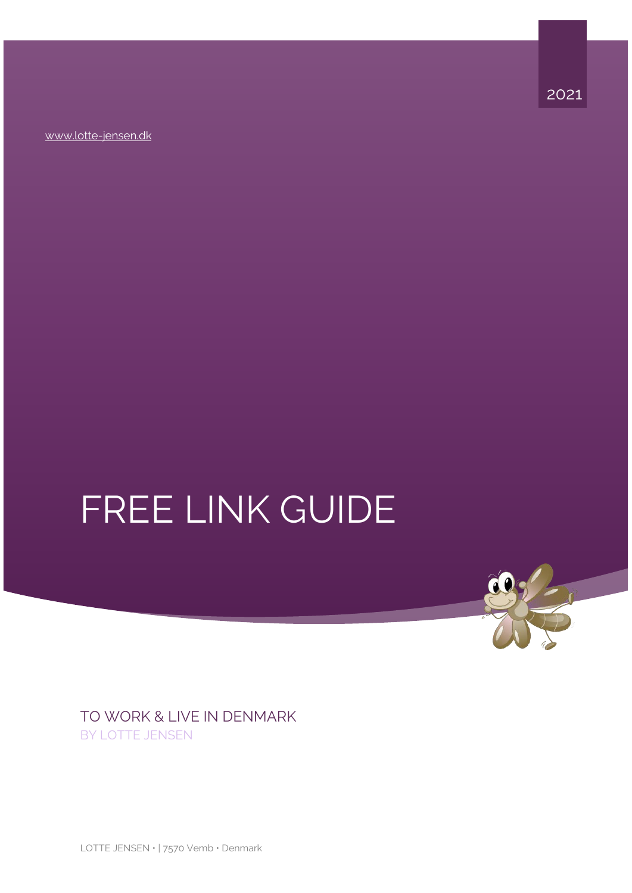[www.lotte-jensen.dk](https://www.lotte-jensen.dk/english/)



# FREE LINK GUIDE

TO WORK & LIVE IN DENMARK BY LOTTE JENSEN

LOTTE JENSEN · | 7570 Vemb · Denmark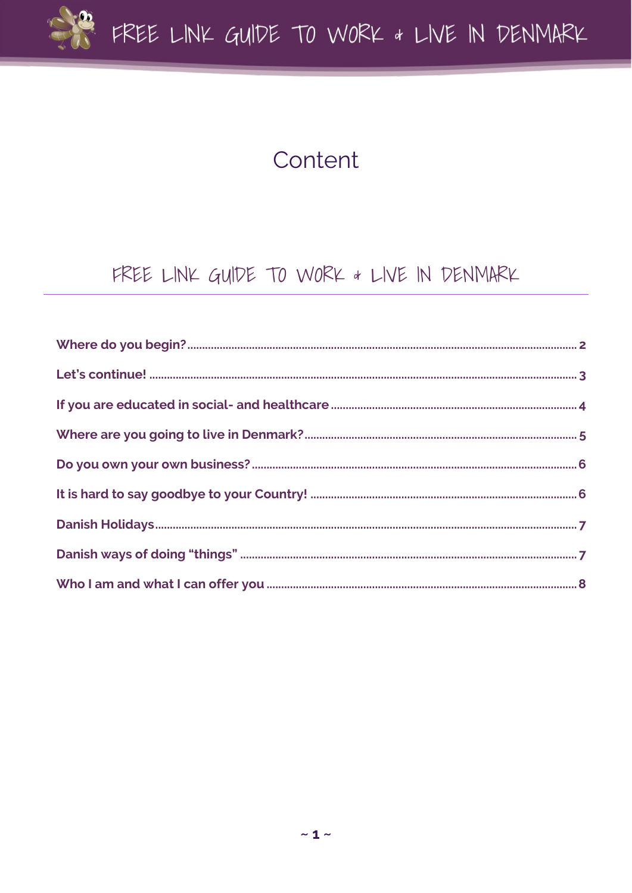

# Content

#### FREE LINK GUIDE TO WORK & LIVE IN DENMARK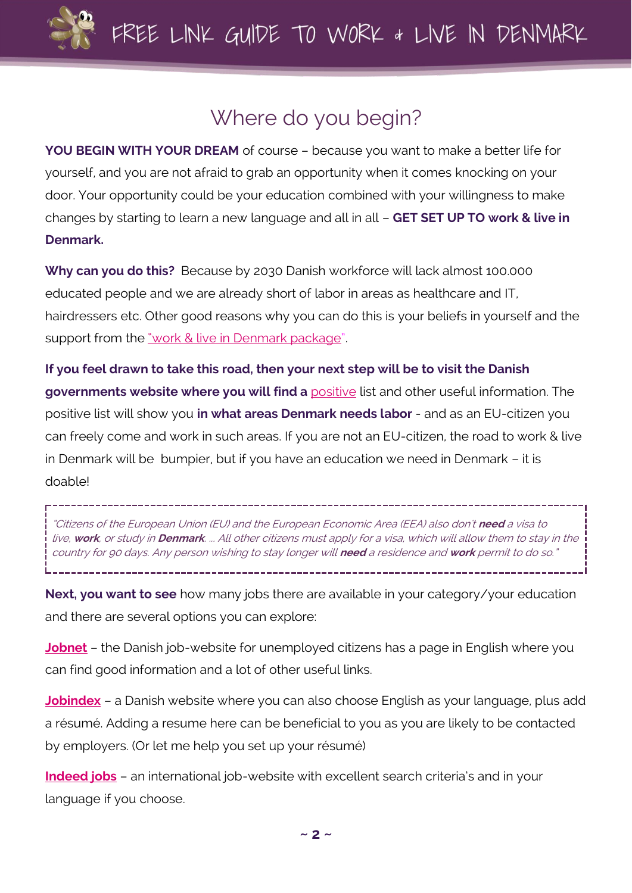

## Where do you begin?

<span id="page-2-0"></span>**YOU BEGIN WITH YOUR DREAM** of course – because you want to make a better life for yourself, and you are not afraid to grab an opportunity when it comes knocking on your door. Your opportunity could be your education combined with your willingness to make changes by starting to learn a new language and all in all – **GET SET UP TO work & live in Denmark.**

**Why can you do this?** Because by 2030 Danish workforce will lack almost 100.000 educated people and we are already short of labor in areas as healthcare and IT, hairdressers etc. Other good reasons why you can do this is your beliefs in yourself and the support from the ["work & live in Denmark package"](https://lotte-jensen.dk/english/).

**If you feel drawn to take this road, then your next step will be to visit the Danish governments website where you will find a** [positive](https://www.nyidanmark.dk/en-GB/Applying/Work/The_Positive_Lists/Positive%20List%20Skilled%20Work) list and other useful information. The positive list will show you **in what areas Denmark needs labor** - and as an EU-citizen you can freely come and work in such areas. If you are not an EU-citizen, the road to work & live in Denmark will be bumpier, but if you have an education we need in Denmark – it is doable!

"Citizens of the European Union (EU) and the European Economic Area (EEA) also don't **need** a visa to live, **work**, or study in **Denmark**. ... All other citizens must apply for a visa, which will allow them to stay in the country for 90 days. Any person wishing to stay longer will **need** a residence and **work** permit to do so."

**Next, you want to see** how many jobs there are available in your category/your education and there are several options you can explore:

**[Jobnet](https://www.workindenmark.dk/)** – the Danish job-website for unemployed citizens has a page in English where you can find good information and a lot of other useful links.

**[Jobindex](https://www.jobindex.dk/?lang=en)** – a Danish website where you can also choose English as your language, plus add a résumé. Adding a resume here can be beneficial to you as you are likely to be contacted by employers. (Or let me help you set up your résumé)

**[Indeed jobs](https://dk.indeed.com/jobs?q=&l=Denmark)** – an international job-website with excellent search criteria's and in your language if you choose.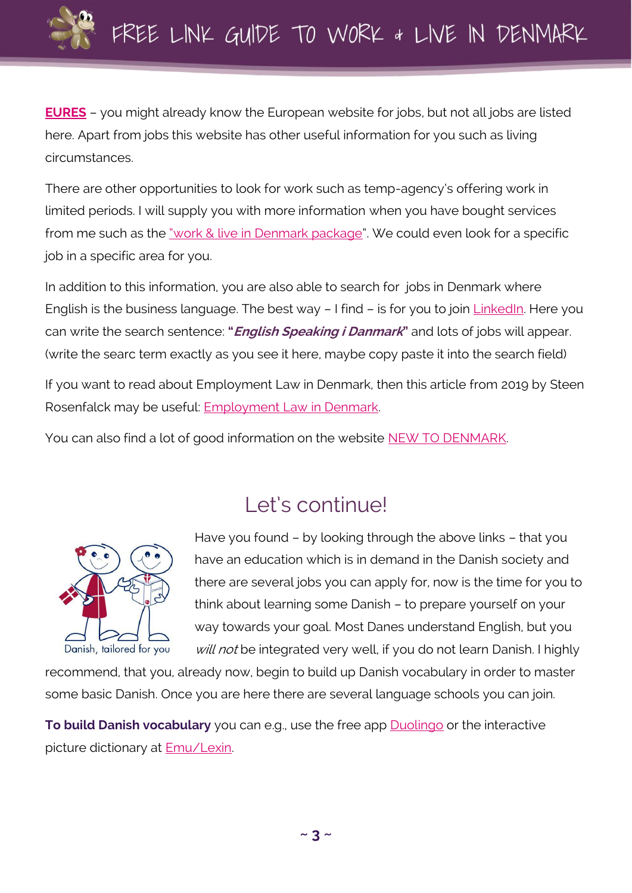

**[EURES](https://ec.europa.eu/eures/public/homepage)** – you might already know the European website for jobs, but not all jobs are listed here. Apart from jobs this website has other useful information for you such as living circumstances.

There are other opportunities to look for work such as temp-agency's offering work in limited periods. I will supply you with more information when you have bought services from me such as the ["work & live in Denmark package"](https://lotte-jensen.dk/english/). We could even look for a specific job in a specific area for you.

In addition to this information, you are also able to search for jobs in Denmark where English is the business language. The best way – I find – is for you to join [LinkedIn.](https://www.linkedin.com/) Here you can write the search sentence: **"English Speaking i Danmark"** and lots of jobs will appear. (write the searc term exactly as you see it here, maybe copy paste it into the search field)

If you want to read about Employment Law in Denmark, then this article from 2019 by Steen Rosenfalck may be useful: **Employment Law in Denmark.** 

You can also find a lot of good information on the website [NEW TO DENMARK.](https://www.nyidanmark.dk/de-DE/You-want-to-apply/Work)

### Let's continue!

<span id="page-3-0"></span>

Have you found – by looking through the above links – that you have an education which is in demand in the Danish society and there are several jobs you can apply for, now is the time for you to think about learning some Danish – to prepare yourself on your way towards your goal. Most Danes understand English, but you will not be integrated very well, if you do not learn Danish. I highly

recommend, that you, already now, begin to build up Danish vocabulary in order to master some basic Danish. Once you are here there are several language schools you can join.

**To build Danish vocabulary** you can e.g., use the free app [Duolingo](https://www.duolingo.com/course/da/en/Learn-Danish) or the interactive picture dictionary at [Emu/Lexin.](https://bildetema.oslomet.no/bildetema/bildetema-html5/bildetema.html?version=danish&language_selector=simple&languages=eng,dan&language=dan&page=index&title=Billedtema%20-%20dansk)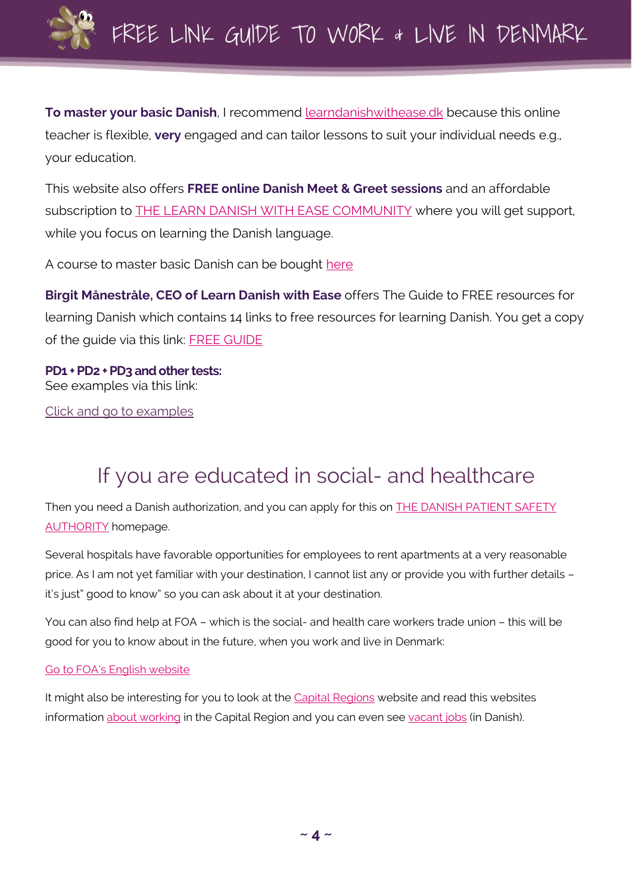

**To master your basic Danish**, I recommend [learndanishwithease.dk](https://www.learndanishwithease.dk/) because this online teacher is flexible, **very** engaged and can tailor lessons to suit your individual needs e.g., your education.

This website also offers **FREE online Danish Meet & Greet sessions** and an affordable subscription to **[THE LEARN DANISH WITH EASE COMMUNITY](https://learndanishwithease.easyme.dk/communityinvitationlist)** where you will get support, while you focus on learning the Danish language.

A course to master basic Danish can be bought [here](https://learndanishwithease.dk/7-days-of-danish/)

**Birgit Månestråle, CEO of Learn Danish with Ease** offers The Guide to FREE resources for learning Danish which contains 14 links to free resources for learning Danish. You get a copy of the guide via this link: [FREE GUIDE](https://learndanishwithease.dk/free/)

**PD1 + PD2 + PD3 and other tests:** See examples via this link:

[Click and go to examples](https://uim.dk/arbejdsomrader/danskundervisning-og-prover-for-udlaendinge/prover/danskprover/eksempler-pa-tidligere-afholdte-prover)

# If you are educated in social- and healthcare

<span id="page-4-0"></span>Then you need a Danish authorization, and you can apply for this on **THE DANISH PATIENT SAFETY** [AUTHORITY](https://en.stps.dk/en/health-professionals-and-authorities/registration-of-healthcare-professionals/social-and-healthcare-assistants-application-for-registration/) homepage.

Several hospitals have favorable opportunities for employees to rent apartments at a very reasonable price. As I am not yet familiar with your destination, I cannot list any or provide you with further details – it's just" good to know" so you can ask about it at your destination.

You can also find help at FOA – which is the social- and health care workers trade union – this will be good for you to know about in the future, when you work and live in Denmark:

#### [Go to FOA's English website](https://www.foa.dk/forbund/english)

It might also be interesting for you to look at the [Capital Regions](https://www.regionh.dk/english/Pages/default.aspx) website and read this websites information about [working](https://www.regionh.dk/english/job/Pages/default.aspx) in the Capital Region and you can even see [vacant jobs](https://www.regionh.dk/job/s%C3%B8g-job/Sider/Forside_job.aspx) (in Danish).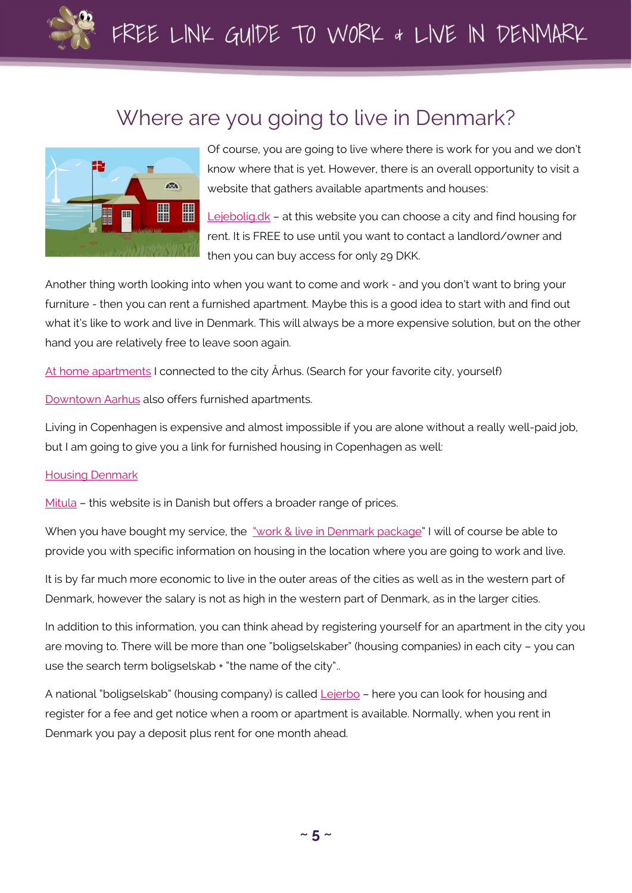

#### Where are you going to live in Denmark?

<span id="page-5-0"></span>

Of course, you are going to live where there is work for you and we don't know where that is yet. However, there is an overall opportunity to visit a website that gathers available apartments and houses:

[Lejebolig.dk](https://www.lejebolig.dk/) – at this website you can choose a city and find housing for rent. It is FREE to use until you want to contact a landlord/owner and then you can buy access for only 29 DKK.

Another thing worth looking into when you want to come and work - and you don't want to bring your furniture - then you can rent a furnished apartment. Maybe this is a good idea to start with and find out what it's like to work and live in Denmark. This will always be a more expensive solution, but on the other hand you are relatively free to leave soon again.

[At home apartments](https://www.athomeapartments.dk/en) I connected to the city Århus. (Search for your favorite city, yourself)

[Downtown](https://www.downtownaarhus.com/en/home_eng/) Aarhus also offers furnished apartments.

Living in Copenhagen is expensive and almost impossible if you are alone without a really well-paid job, but I am going to give you a link for furnished housing in Copenhagen as well:

#### [Housing Denmark](https://housingdenmark.com/en/premium)

[Mitula](https://boliger.mitula.dk/lejlighed-til-leje-m%C3%B8bleret-k%C3%B8benhavn) – this website is in Danish but offers a broader range of prices.

When you have bought my service, the ["work & live in Denmark package"](https://lotte-jensen.dk/english/) I will of course be able to provide you with specific information on housing in the location where you are going to work and live.

It is by far much more economic to live in the outer areas of the cities as well as in the western part of Denmark, however the salary is not as high in the western part of Denmark, as in the larger cities.

In addition to this information, you can think ahead by registering yourself for an apartment in the city you are moving to. There will be more than one "boligselskaber" (housing companies) in each city – you can use the search term boligselskab + "the name of the city"..

A national "boligselskab" (housing company) is calle[d Lejerbo](https://www.lejerbo.dk/om-lejerbo/lejerbo-in-english) - here you can look for housing and register for a fee and get notice when a room or apartment is available. Normally, when you rent in Denmark you pay a deposit plus rent for one month ahead.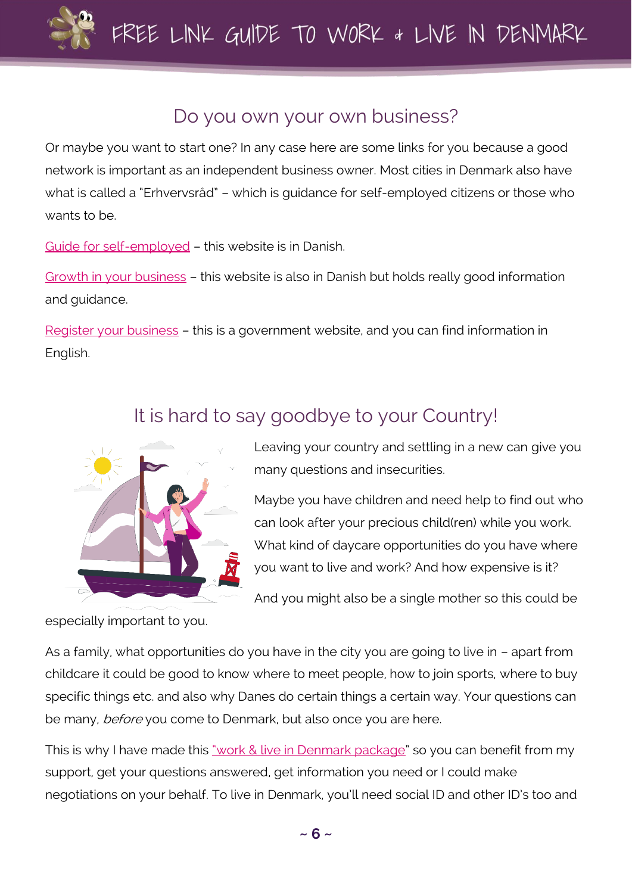

#### Do you own your own business?

<span id="page-6-0"></span>Or maybe you want to start one? In any case here are some links for you because a good network is important as an independent business owner. Most cities in Denmark also have what is called a "Erhvervsråd" – which is guidance for self-employed citizens or those who wants to be.

[Guide for self-employed](https://virksomhedsguiden.dk/content/) – this website is in Danish.

Growth [in your business](https://ivaekst.dk/) – this website is also in Danish but holds really good information and guidance.

[Register your business](https://businessindenmark.virk.dk/) – this is a government website, and you can find information in English.

#### It is hard to say goodbye to your Country!

<span id="page-6-1"></span>

especially important to you.

Leaving your country and settling in a new can give you many questions and insecurities.

Maybe you have children and need help to find out who can look after your precious child(ren) while you work. What kind of daycare opportunities do you have where you want to live and work? And how expensive is it?

And you might also be a single mother so this could be

As a family, what opportunities do you have in the city you are going to live in – apart from childcare it could be good to know where to meet people, how to join sports, where to buy specific things etc. and also why Danes do certain things a certain way. Your questions can be many, before you come to Denmark, but also once you are here.

This is why I have made this ["work & live in Denmark package"](https://lotte-jensen.dk/english/) so you can benefit from my support, get your questions answered, get information you need or I could make negotiations on your behalf. To live in Denmark, you'll need social ID and other ID's too and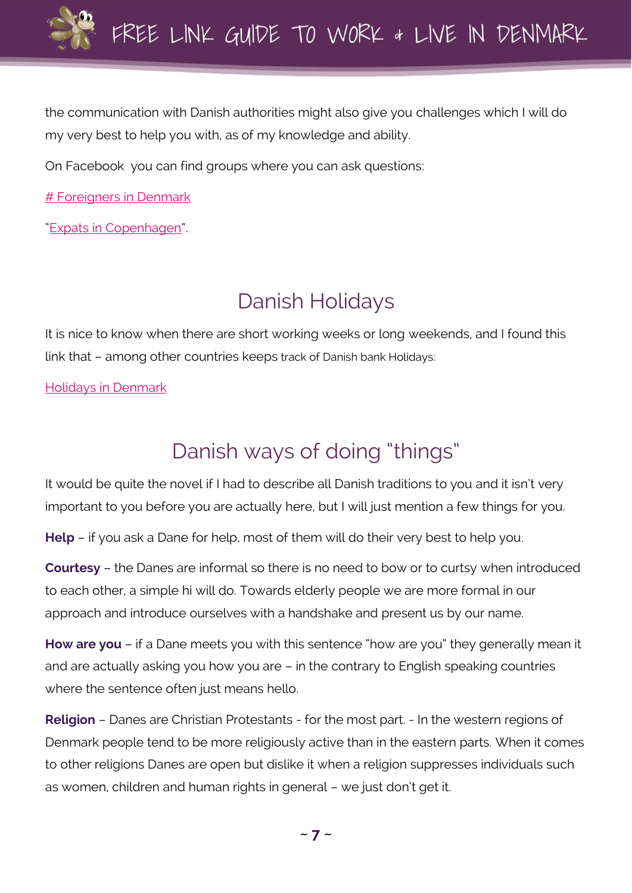

the communication with Danish authorities might also give you challenges which I will do my very best to help you with, as of my knowledge and ability.

On Facebook you can find groups where you can ask questions:

[# Foreigners](https://www.facebook.com/groups/cphexpats) in Denmark

"[Expats in Copenhagen](https://www.facebook.com/groups/1408252362776505)".

# Danish Holidays

<span id="page-7-0"></span>It is nice to know when there are short working weeks or long weekends, and I found this link that – among other countries keeps track of Danish bank Holidays:

[Holidays in Denmark](https://www.officeholidays.com/countries/denmark/2021)

# Danish ways of doing "things"

<span id="page-7-1"></span>It would be quite the novel if I had to describe all Danish traditions to you and it isn't very important to you before you are actually here, but I will just mention a few things for you.

**Help** – if you ask a Dane for help, most of them will do their very best to help you.

**Courtesy** – the Danes are informal so there is no need to bow or to curtsy when introduced to each other, a simple hi will do. Towards elderly people we are more formal in our approach and introduce ourselves with a handshake and present us by our name.

**How are you** – if a Dane meets you with this sentence "how are you" they generally mean it and are actually asking you how you are – in the contrary to English speaking countries where the sentence often just means hello.

**Religion** – Danes are Christian Protestants - for the most part. - In the western regions of Denmark people tend to be more religiously active than in the eastern parts. When it comes to other religions Danes are open but dislike it when a religion suppresses individuals such as women, children and human rights in general – we just don't get it.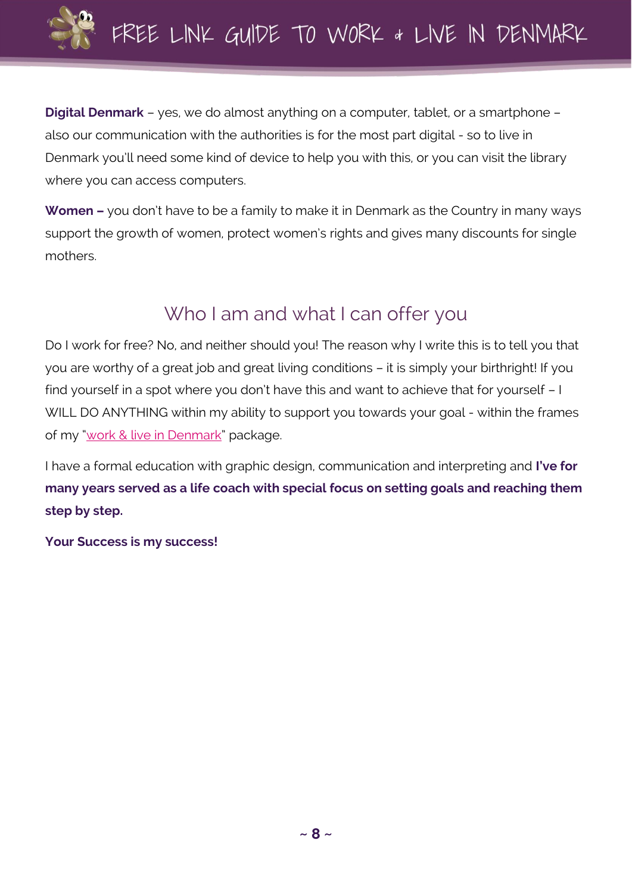

**Digital Denmark** – yes, we do almost anything on a computer, tablet, or a smartphone – also our communication with the authorities is for the most part digital - so to live in Denmark you'll need some kind of device to help you with this, or you can visit the library where you can access computers.

**Women –** you don't have to be a family to make it in Denmark as the Country in many ways support the growth of women, protect women's rights and gives many discounts for single mothers.

## Who I am and what I can offer you

<span id="page-8-0"></span>Do I work for free? No, and neither should you! The reason why I write this is to tell you that you are worthy of a great job and great living conditions – it is simply your birthright! If you find yourself in a spot where you don't have this and want to achieve that for yourself – I WILL DO ANYTHING within my ability to support you towards your goal - within the frames of my "[work & live in Denmark](https://lotte-jensen.dk/english/)" package.

I have a formal education with graphic design, communication and interpreting and **I've for many years served as a life coach with special focus on setting goals and reaching them step by step.**

**Your Success is my success!**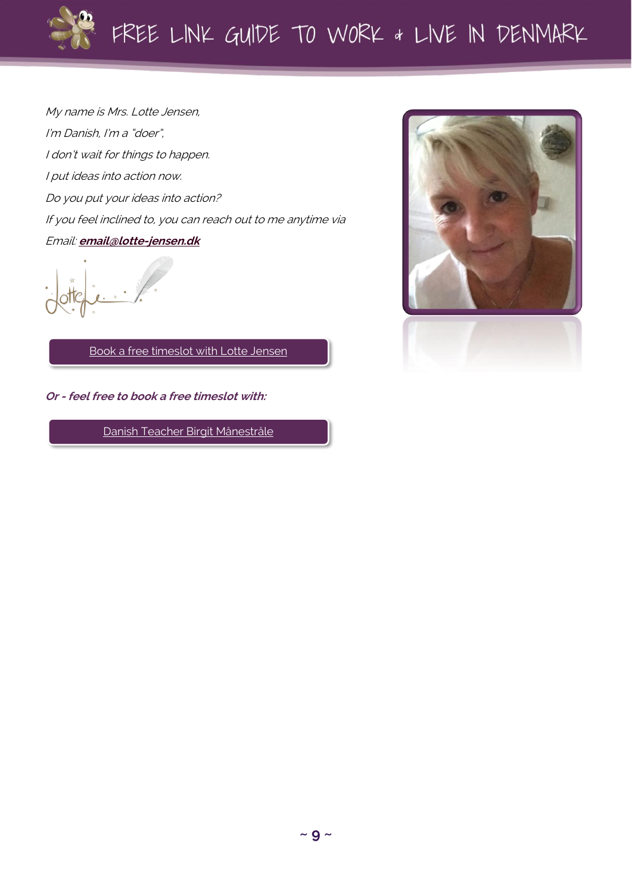

My name is Mrs. Lotte Jensen, I'm Danish, I'm a "doer", I don't wait for things to happen. I put ideas into action now. Do you put your ideas into action? If you feel inclined to, you can reach out to me anytime via Email: **[email@lotte-jensen.dk](mailto:email@lotte-jensen.dk)**

[Book a free timeslot](https://ezme.io/c/xQc/zoCe) with Lotte Jensen

**Or - feel free to book a free timeslot with:**

[Danish Teacher Birgit Månestråle](https://ezme.io/c/dI/eEj4)